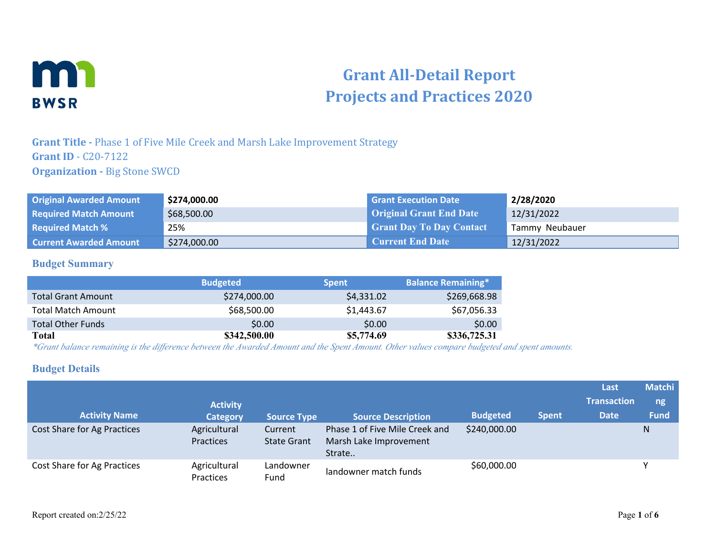

# **Grant All-Detail Report Projects and Practices 2020**

#### **Grant Title -** Phase 1 of Five Mile Creek and Marsh Lake Improvement Strategy **Grant ID** - C20-7122 **Organization - Big Stone SWCD**

| <b>Original Awarded Amount</b> | \$274,000.00 | <b>Grant Execution Date</b>     | 2/28/2020      |
|--------------------------------|--------------|---------------------------------|----------------|
| <b>Required Match Amount</b>   | \$68,500.00  | <b>Original Grant End Date</b>  | 12/31/2022     |
| <b>Required Match %</b>        | 25%          | <b>Grant Day To Day Contact</b> | Tammy Neubauer |
| <b>Current Awarded Amount</b>  | \$274,000.00 | <b>Current End Date</b>         | 12/31/2022     |

#### **Budget Summary**

|                           | <b>Budgeted</b> | <b>Spent</b> | <b>Balance Remaining*</b> |
|---------------------------|-----------------|--------------|---------------------------|
| <b>Total Grant Amount</b> | \$274,000.00    | \$4,331.02   | \$269,668.98              |
| <b>Total Match Amount</b> | \$68,500.00     | \$1,443.67   | \$67,056.33               |
| <b>Total Other Funds</b>  | \$0.00          | \$0.00       | \$0.00                    |
| Total                     | \$342,500.00    | \$5,774.69   | \$336,725.31              |

*\*Grant balance remaining is the difference between the Awarded Amount and the Spent Amount. Other values compare budgeted and spent amounts.*

#### **Budget Details**

| <b>Activity Name</b>        | <b>Activity</b><br><b>Category</b> | <b>Source Type</b>            | <b>Source Description</b>                                          | <b>Budgeted</b> | <b>Spent</b> | Last<br><b>Transaction</b><br><b>Date</b> | <b>Matchi</b><br>ng<br><b>Fund</b> |
|-----------------------------|------------------------------------|-------------------------------|--------------------------------------------------------------------|-----------------|--------------|-------------------------------------------|------------------------------------|
| Cost Share for Ag Practices | Agricultural<br>Practices          | Current<br><b>State Grant</b> | Phase 1 of Five Mile Creek and<br>Marsh Lake Improvement<br>Strate | \$240,000.00    |              |                                           | Ν                                  |
| Cost Share for Ag Practices | Agricultural<br>Practices          | Landowner<br>Fund             | landowner match funds                                              | \$60,000.00     |              |                                           |                                    |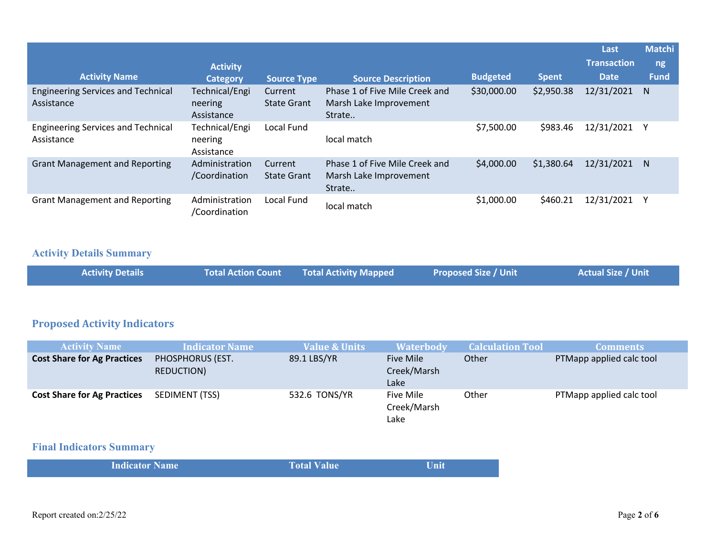|                                                         |                                         |                               |                                                                    |                 |              | Last               | <b>Matchi</b> |
|---------------------------------------------------------|-----------------------------------------|-------------------------------|--------------------------------------------------------------------|-----------------|--------------|--------------------|---------------|
|                                                         | <b>Activity</b>                         |                               |                                                                    |                 |              | <b>Transaction</b> | ng            |
| <b>Activity Name</b>                                    | <b>Category</b>                         | <b>Source Type</b>            | <b>Source Description</b>                                          | <b>Budgeted</b> | <b>Spent</b> | <b>Date</b>        | <b>Fund</b>   |
| <b>Engineering Services and Technical</b><br>Assistance | Technical/Engi<br>neering<br>Assistance | Current<br><b>State Grant</b> | Phase 1 of Five Mile Creek and<br>Marsh Lake Improvement<br>Strate | \$30,000.00     | \$2,950.38   | 12/31/2021         | N             |
| <b>Engineering Services and Technical</b><br>Assistance | Technical/Engi<br>neering<br>Assistance | Local Fund                    | local match                                                        | \$7,500.00      | \$983.46     | 12/31/2021         |               |
| <b>Grant Management and Reporting</b>                   | Administration<br>/Coordination         | Current<br><b>State Grant</b> | Phase 1 of Five Mile Creek and<br>Marsh Lake Improvement<br>Strate | \$4,000.00      | \$1,380.64   | 12/31/2021         | N             |
| <b>Grant Management and Reporting</b>                   | Administration<br>/Coordination         | Local Fund                    | local match                                                        | \$1,000.00      | \$460.21     | 12/31/2021         |               |

#### **Activity Details Summary**

| Actual Size / Unit  <br>Total Action Count Total Activity Mapped<br><b>Activity Details</b><br>Proposed Size / Unit <sub>I</sub> |  |  |  |  |  |
|----------------------------------------------------------------------------------------------------------------------------------|--|--|--|--|--|
|----------------------------------------------------------------------------------------------------------------------------------|--|--|--|--|--|

# **Proposed Activity Indicators**

| <b>Activity Name</b>               | <b>Indicator Name</b>          | <b>Value &amp; Units</b> | <b>Waterbody</b>                 | <b>Calculation Tool</b> | <b>Comments</b>          |
|------------------------------------|--------------------------------|--------------------------|----------------------------------|-------------------------|--------------------------|
| <b>Cost Share for Ag Practices</b> | PHOSPHORUS (EST.<br>REDUCTION) | 89.1 LBS/YR              | Five Mile<br>Creek/Marsh<br>Lake | Other                   | PTMapp applied calc tool |
| <b>Cost Share for Ag Practices</b> | SEDIMENT (TSS)                 | 532.6 TONS/YR            | Five Mile<br>Creek/Marsh<br>Lake | Other                   | PTMapp applied calc tool |

## **Final Indicators Summary**

| <b>Indicator Name</b> | <b>Total Value</b> | Unit |
|-----------------------|--------------------|------|
|                       |                    |      |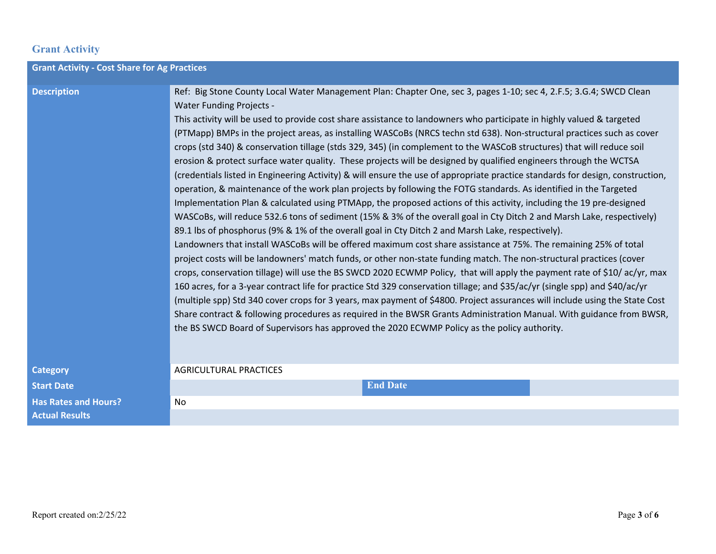## **Grant Activity**

| <b>Grant Activity - Cost Share for Ag Practices</b> |                                                                                                                                                                                                                                                                                                                                                                                                                                                                                                                                                                                                                                                                                                                                                                                                                                                                                                                                                                                                                                                                                                                                                                                                                                                                                                                                                                                                                                                                                                                                                                                                                                                                                                                                                                                                                                                                                                                                                                                                                                                                                                                                    |
|-----------------------------------------------------|------------------------------------------------------------------------------------------------------------------------------------------------------------------------------------------------------------------------------------------------------------------------------------------------------------------------------------------------------------------------------------------------------------------------------------------------------------------------------------------------------------------------------------------------------------------------------------------------------------------------------------------------------------------------------------------------------------------------------------------------------------------------------------------------------------------------------------------------------------------------------------------------------------------------------------------------------------------------------------------------------------------------------------------------------------------------------------------------------------------------------------------------------------------------------------------------------------------------------------------------------------------------------------------------------------------------------------------------------------------------------------------------------------------------------------------------------------------------------------------------------------------------------------------------------------------------------------------------------------------------------------------------------------------------------------------------------------------------------------------------------------------------------------------------------------------------------------------------------------------------------------------------------------------------------------------------------------------------------------------------------------------------------------------------------------------------------------------------------------------------------------|
| <b>Description</b>                                  | Ref: Big Stone County Local Water Management Plan: Chapter One, sec 3, pages 1-10; sec 4, 2.F.5; 3.G.4; SWCD Clean<br><b>Water Funding Projects -</b><br>This activity will be used to provide cost share assistance to landowners who participate in highly valued & targeted<br>(PTMapp) BMPs in the project areas, as installing WASCoBs (NRCS techn std 638). Non-structural practices such as cover<br>crops (std 340) & conservation tillage (stds 329, 345) (in complement to the WASCoB structures) that will reduce soil<br>erosion & protect surface water quality. These projects will be designed by qualified engineers through the WCTSA<br>(credentials listed in Engineering Activity) & will ensure the use of appropriate practice standards for design, construction,<br>operation, & maintenance of the work plan projects by following the FOTG standards. As identified in the Targeted<br>Implementation Plan & calculated using PTMApp, the proposed actions of this activity, including the 19 pre-designed<br>WASCoBs, will reduce 532.6 tons of sediment (15% & 3% of the overall goal in Cty Ditch 2 and Marsh Lake, respectively)<br>89.1 lbs of phosphorus (9% & 1% of the overall goal in Cty Ditch 2 and Marsh Lake, respectively).<br>Landowners that install WASCoBs will be offered maximum cost share assistance at 75%. The remaining 25% of total<br>project costs will be landowners' match funds, or other non-state funding match. The non-structural practices (cover<br>crops, conservation tillage) will use the BS SWCD 2020 ECWMP Policy, that will apply the payment rate of \$10/ ac/yr, max<br>160 acres, for a 3-year contract life for practice Std 329 conservation tillage; and \$35/ac/yr (single spp) and \$40/ac/yr<br>(multiple spp) Std 340 cover crops for 3 years, max payment of \$4800. Project assurances will include using the State Cost<br>Share contract & following procedures as required in the BWSR Grants Administration Manual. With guidance from BWSR,<br>the BS SWCD Board of Supervisors has approved the 2020 ECWMP Policy as the policy authority. |
| <b>Category</b>                                     | <b>AGRICULTURAL PRACTICES</b>                                                                                                                                                                                                                                                                                                                                                                                                                                                                                                                                                                                                                                                                                                                                                                                                                                                                                                                                                                                                                                                                                                                                                                                                                                                                                                                                                                                                                                                                                                                                                                                                                                                                                                                                                                                                                                                                                                                                                                                                                                                                                                      |
| <b>Start Date</b>                                   | <b>End Date</b>                                                                                                                                                                                                                                                                                                                                                                                                                                                                                                                                                                                                                                                                                                                                                                                                                                                                                                                                                                                                                                                                                                                                                                                                                                                                                                                                                                                                                                                                                                                                                                                                                                                                                                                                                                                                                                                                                                                                                                                                                                                                                                                    |
| <b>Has Rates and Hours?</b>                         | No.                                                                                                                                                                                                                                                                                                                                                                                                                                                                                                                                                                                                                                                                                                                                                                                                                                                                                                                                                                                                                                                                                                                                                                                                                                                                                                                                                                                                                                                                                                                                                                                                                                                                                                                                                                                                                                                                                                                                                                                                                                                                                                                                |
| <b>Actual Results</b>                               |                                                                                                                                                                                                                                                                                                                                                                                                                                                                                                                                                                                                                                                                                                                                                                                                                                                                                                                                                                                                                                                                                                                                                                                                                                                                                                                                                                                                                                                                                                                                                                                                                                                                                                                                                                                                                                                                                                                                                                                                                                                                                                                                    |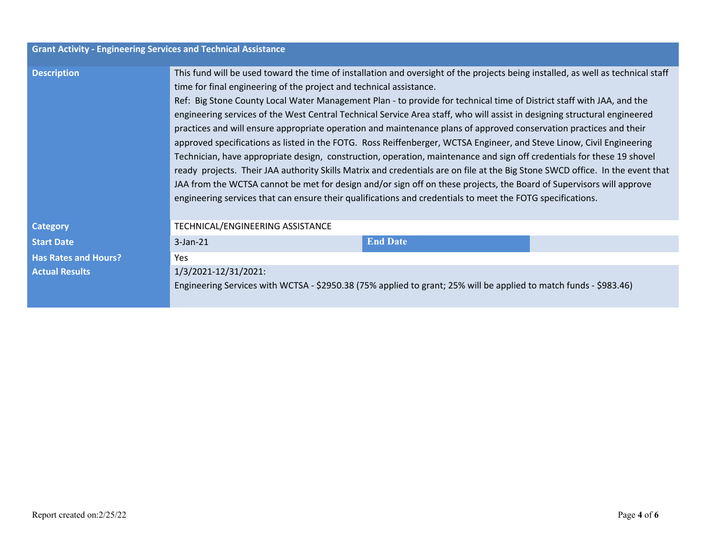| <b>Grant Activity - Engineering Services and Technical Assistance</b> |                                                                                                                                                                                                                                                                                                                                                                                                                                                                                                                                                                                                                                                                                                                                                                                                                                                                                                                                                                                                                                                                                                                                                                                                               |                 |  |
|-----------------------------------------------------------------------|---------------------------------------------------------------------------------------------------------------------------------------------------------------------------------------------------------------------------------------------------------------------------------------------------------------------------------------------------------------------------------------------------------------------------------------------------------------------------------------------------------------------------------------------------------------------------------------------------------------------------------------------------------------------------------------------------------------------------------------------------------------------------------------------------------------------------------------------------------------------------------------------------------------------------------------------------------------------------------------------------------------------------------------------------------------------------------------------------------------------------------------------------------------------------------------------------------------|-----------------|--|
| <b>Description</b>                                                    | This fund will be used toward the time of installation and oversight of the projects being installed, as well as technical staff<br>time for final engineering of the project and technical assistance.<br>Ref: Big Stone County Local Water Management Plan - to provide for technical time of District staff with JAA, and the<br>engineering services of the West Central Technical Service Area staff, who will assist in designing structural engineered<br>practices and will ensure appropriate operation and maintenance plans of approved conservation practices and their<br>approved specifications as listed in the FOTG. Ross Reiffenberger, WCTSA Engineer, and Steve Linow, Civil Engineering<br>Technician, have appropriate design, construction, operation, maintenance and sign off credentials for these 19 shovel<br>ready projects. Their JAA authority Skills Matrix and credentials are on file at the Big Stone SWCD office. In the event that<br>JAA from the WCTSA cannot be met for design and/or sign off on these projects, the Board of Supervisors will approve<br>engineering services that can ensure their qualifications and credentials to meet the FOTG specifications. |                 |  |
| <b>Category</b>                                                       | TECHNICAL/ENGINEERING ASSISTANCE                                                                                                                                                                                                                                                                                                                                                                                                                                                                                                                                                                                                                                                                                                                                                                                                                                                                                                                                                                                                                                                                                                                                                                              |                 |  |
| <b>Start Date</b>                                                     | $3$ -Jan- $21$                                                                                                                                                                                                                                                                                                                                                                                                                                                                                                                                                                                                                                                                                                                                                                                                                                                                                                                                                                                                                                                                                                                                                                                                | <b>End Date</b> |  |
| <b>Has Rates and Hours?</b>                                           | Yes.                                                                                                                                                                                                                                                                                                                                                                                                                                                                                                                                                                                                                                                                                                                                                                                                                                                                                                                                                                                                                                                                                                                                                                                                          |                 |  |
| <b>Actual Results</b>                                                 | 1/3/2021-12/31/2021:                                                                                                                                                                                                                                                                                                                                                                                                                                                                                                                                                                                                                                                                                                                                                                                                                                                                                                                                                                                                                                                                                                                                                                                          |                 |  |
|                                                                       | Engineering Services with WCTSA - \$2950.38 (75% applied to grant; 25% will be applied to match funds - \$983.46)                                                                                                                                                                                                                                                                                                                                                                                                                                                                                                                                                                                                                                                                                                                                                                                                                                                                                                                                                                                                                                                                                             |                 |  |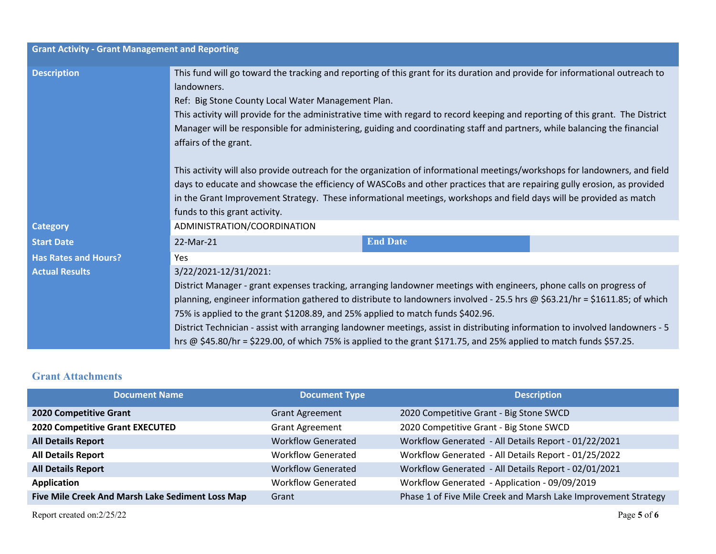| <b>Grant Activity - Grant Management and Reporting</b> |                                      |                                                                                                                                                                                                                                                                                                                                                                                                                                                                                                                                                                                                                                                                                                              |                                                                                                                               |  |  |
|--------------------------------------------------------|--------------------------------------|--------------------------------------------------------------------------------------------------------------------------------------------------------------------------------------------------------------------------------------------------------------------------------------------------------------------------------------------------------------------------------------------------------------------------------------------------------------------------------------------------------------------------------------------------------------------------------------------------------------------------------------------------------------------------------------------------------------|-------------------------------------------------------------------------------------------------------------------------------|--|--|
| <b>Description</b>                                     | landowners.<br>affairs of the grant. | This fund will go toward the tracking and reporting of this grant for its duration and provide for informational outreach to<br>Ref: Big Stone County Local Water Management Plan.<br>This activity will provide for the administrative time with regard to record keeping and reporting of this grant. The District<br>Manager will be responsible for administering, guiding and coordinating staff and partners, while balancing the financial<br>This activity will also provide outreach for the organization of informational meetings/workshops for landowners, and field<br>days to educate and showcase the efficiency of WASCoBs and other practices that are repairing gully erosion, as provided |                                                                                                                               |  |  |
|                                                        | funds to this grant activity.        | in the Grant Improvement Strategy. These informational meetings, workshops and field days will be provided as match                                                                                                                                                                                                                                                                                                                                                                                                                                                                                                                                                                                          |                                                                                                                               |  |  |
| <b>Category</b>                                        | ADMINISTRATION/COORDINATION          |                                                                                                                                                                                                                                                                                                                                                                                                                                                                                                                                                                                                                                                                                                              |                                                                                                                               |  |  |
| <b>Start Date</b>                                      | 22-Mar-21                            | <b>End Date</b>                                                                                                                                                                                                                                                                                                                                                                                                                                                                                                                                                                                                                                                                                              |                                                                                                                               |  |  |
| <b>Has Rates and Hours?</b>                            | Yes                                  |                                                                                                                                                                                                                                                                                                                                                                                                                                                                                                                                                                                                                                                                                                              |                                                                                                                               |  |  |
| <b>Actual Results</b>                                  | 3/22/2021-12/31/2021:                | District Manager - grant expenses tracking, arranging landowner meetings with engineers, phone calls on progress of<br>planning, engineer information gathered to distribute to landowners involved - 25.5 hrs @ \$63.21/hr = \$1611.85; of which<br>75% is applied to the grant \$1208.89, and 25% applied to match funds \$402.96.<br>hrs @ \$45.80/hr = \$229.00, of which 75% is applied to the grant \$171.75, and 25% applied to match funds \$57.25.                                                                                                                                                                                                                                                  | District Technician - assist with arranging landowner meetings, assist in distributing information to involved landowners - 5 |  |  |

#### **Grant Attachments**

| <b>Document Name</b>                             | <b>Document Type</b>      | <b>Description</b>                                             |
|--------------------------------------------------|---------------------------|----------------------------------------------------------------|
| <b>2020 Competitive Grant</b>                    | <b>Grant Agreement</b>    | 2020 Competitive Grant - Big Stone SWCD                        |
| <b>2020 Competitive Grant EXECUTED</b>           | <b>Grant Agreement</b>    | 2020 Competitive Grant - Big Stone SWCD                        |
| <b>All Details Report</b>                        | <b>Workflow Generated</b> | Workflow Generated - All Details Report - 01/22/2021           |
| <b>All Details Report</b>                        | <b>Workflow Generated</b> | Workflow Generated - All Details Report - 01/25/2022           |
| <b>All Details Report</b>                        | <b>Workflow Generated</b> | Workflow Generated - All Details Report - 02/01/2021           |
| Application                                      | <b>Workflow Generated</b> | Workflow Generated - Application - 09/09/2019                  |
| Five Mile Creek And Marsh Lake Sediment Loss Map | Grant                     | Phase 1 of Five Mile Creek and Marsh Lake Improvement Strategy |

Report created on:2/25/22 Page **5** of **6**